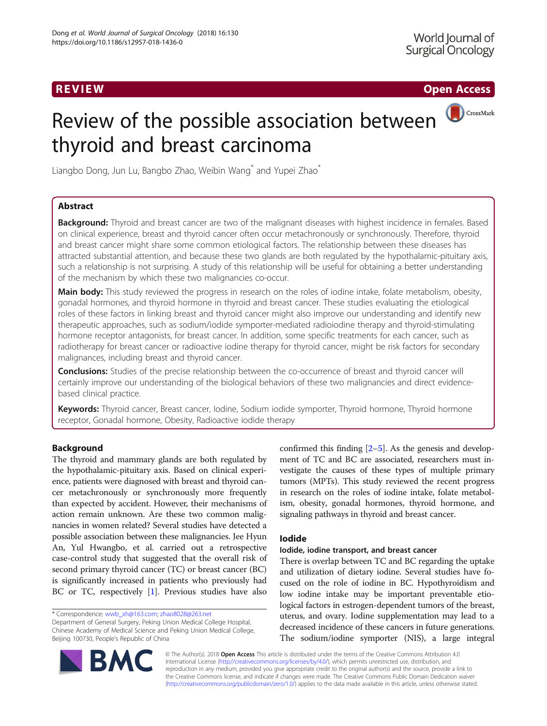**REVIEW CONTROL** CONTROL CONTROL CONTROL CONTROL CONTROL CONTROL CONTROL CONTROL CONTROL CONTROL CONTROL CONTROL CONTROL CONTROL CONTROL CONTROL CONTROL CONTROL CONTROL CONTROL CONTROL CONTROL CONTROL CONTROL CONTROL CONTR

CrossMark

# Review of the possible association between thyroid and breast carcinoma



# Abstract

Background: Thyroid and breast cancer are two of the malignant diseases with highest incidence in females. Based on clinical experience, breast and thyroid cancer often occur metachronously or synchronously. Therefore, thyroid and breast cancer might share some common etiological factors. The relationship between these diseases has attracted substantial attention, and because these two glands are both regulated by the hypothalamic-pituitary axis, such a relationship is not surprising. A study of this relationship will be useful for obtaining a better understanding of the mechanism by which these two malignancies co-occur.

Main body: This study reviewed the progress in research on the roles of iodine intake, folate metabolism, obesity, gonadal hormones, and thyroid hormone in thyroid and breast cancer. These studies evaluating the etiological roles of these factors in linking breast and thyroid cancer might also improve our understanding and identify new therapeutic approaches, such as sodium/iodide symporter-mediated radioiodine therapy and thyroid-stimulating hormone receptor antagonists, for breast cancer. In addition, some specific treatments for each cancer, such as radiotherapy for breast cancer or radioactive iodine therapy for thyroid cancer, might be risk factors for secondary malignances, including breast and thyroid cancer.

**Conclusions:** Studies of the precise relationship between the co-occurrence of breast and thyroid cancer will certainly improve our understanding of the biological behaviors of these two malignancies and direct evidencebased clinical practice.

Keywords: Thyroid cancer, Breast cancer, lodine, Sodium iodide symporter, Thyroid hormone, Thyroid hormone receptor, Gonadal hormone, Obesity, Radioactive iodide therapy

# Background

The thyroid and mammary glands are both regulated by the hypothalamic-pituitary axis. Based on clinical experience, patients were diagnosed with breast and thyroid cancer metachronously or synchronously more frequently than expected by accident. However, their mechanisms of action remain unknown. Are these two common malignancies in women related? Several studies have detected a possible association between these malignancies. Jee Hyun An, Yul Hwangbo, et al. carried out a retrospective case-control study that suggested that the overall risk of second primary thyroid cancer (TC) or breast cancer (BC) is significantly increased in patients who previously had BC or TC, respectively [[1\]](#page-4-0). Previous studies have also

Department of General Surgery, Peking Union Medical College Hospital, Chinese Academy of Medical Science and Peking Union Medical College, Beijing 100730, People's Republic of China

confirmed this finding  $[2-5]$  $[2-5]$  $[2-5]$ . As the genesis and development of TC and BC are associated, researchers must investigate the causes of these types of multiple primary tumors (MPTs). This study reviewed the recent progress in research on the roles of iodine intake, folate metabolism, obesity, gonadal hormones, thyroid hormone, and signaling pathways in thyroid and breast cancer.

# Iodide

# Iodide, iodine transport, and breast cancer

There is overlap between TC and BC regarding the uptake and utilization of dietary iodine. Several studies have focused on the role of iodine in BC. Hypothyroidism and low iodine intake may be important preventable etiological factors in estrogen-dependent tumors of the breast, uterus, and ovary. Iodine supplementation may lead to a decreased incidence of these cancers in future generations. The sodium/iodine symporter (NIS), a large integral



© The Author(s). 2018 Open Access This article is distributed under the terms of the Creative Commons Attribution 4.0 International License [\(http://creativecommons.org/licenses/by/4.0/](http://creativecommons.org/licenses/by/4.0/)), which permits unrestricted use, distribution, and reproduction in any medium, provided you give appropriate credit to the original author(s) and the source, provide a link to the Creative Commons license, and indicate if changes were made. The Creative Commons Public Domain Dedication waiver [\(http://creativecommons.org/publicdomain/zero/1.0/](http://creativecommons.org/publicdomain/zero/1.0/)) applies to the data made available in this article, unless otherwise stated.

<sup>\*</sup> Correspondence: [wwb\\_xh@163.com](mailto:wwb_xh@163.com); [zhao8028@263.net](mailto:zhao8028@263.net)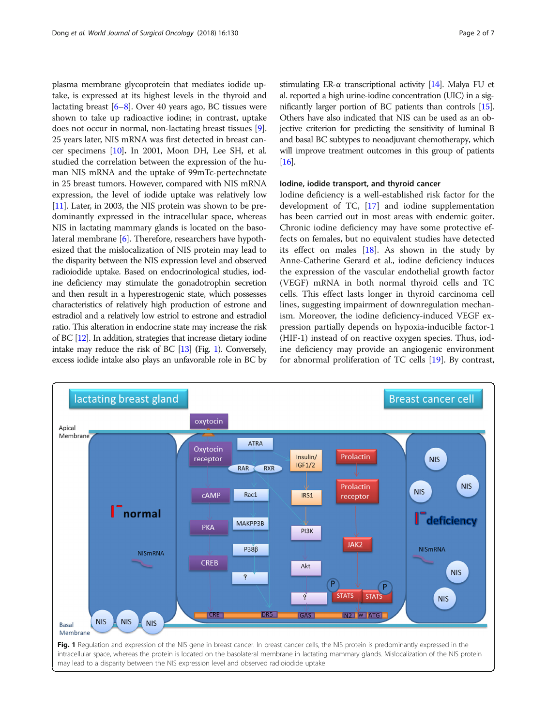plasma membrane glycoprotein that mediates iodide uptake, is expressed at its highest levels in the thyroid and lactating breast [\[6](#page-5-0)–[8\]](#page-5-0). Over 40 years ago, BC tissues were shown to take up radioactive iodine; in contrast, uptake does not occur in normal, non-lactating breast tissues [[9](#page-5-0)]. 25 years later, NIS mRNA was first detected in breast cancer specimens [[10](#page-5-0)]. In 2001, Moon DH, Lee SH, et al. studied the correlation between the expression of the human NIS mRNA and the uptake of 99mTc-pertechnetate in 25 breast tumors. However, compared with NIS mRNA expression, the level of iodide uptake was relatively low [[11](#page-5-0)]. Later, in 2003, the NIS protein was shown to be predominantly expressed in the intracellular space, whereas NIS in lactating mammary glands is located on the basolateral membrane [\[6\]](#page-5-0). Therefore, researchers have hypothesized that the mislocalization of NIS protein may lead to the disparity between the NIS expression level and observed radioiodide uptake. Based on endocrinological studies, iodine deficiency may stimulate the gonadotrophin secretion and then result in a hyperestrogenic state, which possesses characteristics of relatively high production of estrone and estradiol and a relatively low estriol to estrone and estradiol ratio. This alteration in endocrine state may increase the risk of BC [[12\]](#page-5-0). In addition, strategies that increase dietary iodine intake may reduce the risk of BC [[13\]](#page-5-0) (Fig. 1). Conversely, excess iodide intake also plays an unfavorable role in BC by stimulating ER- $\alpha$  transcriptional activity [\[14\]](#page-5-0). Malya FU et al. reported a high urine-iodine concentration (UIC) in a significantly larger portion of BC patients than controls [\[15](#page-5-0)]. Others have also indicated that NIS can be used as an objective criterion for predicting the sensitivity of luminal B and basal BC subtypes to neoadjuvant chemotherapy, which will improve treatment outcomes in this group of patients [[16\]](#page-5-0).

# Iodine, iodide transport, and thyroid cancer

Iodine deficiency is a well-established risk factor for the development of TC, [\[17](#page-5-0)] and iodine supplementation has been carried out in most areas with endemic goiter. Chronic iodine deficiency may have some protective effects on females, but no equivalent studies have detected its effect on males [[18\]](#page-5-0). As shown in the study by Anne-Catherine Gerard et al., iodine deficiency induces the expression of the vascular endothelial growth factor (VEGF) mRNA in both normal thyroid cells and TC cells. This effect lasts longer in thyroid carcinoma cell lines, suggesting impairment of downregulation mechanism. Moreover, the iodine deficiency-induced VEGF expression partially depends on hypoxia-inducible factor-1 (HIF-1) instead of on reactive oxygen species. Thus, iodine deficiency may provide an angiogenic environment for abnormal proliferation of TC cells [\[19](#page-5-0)]. By contrast,

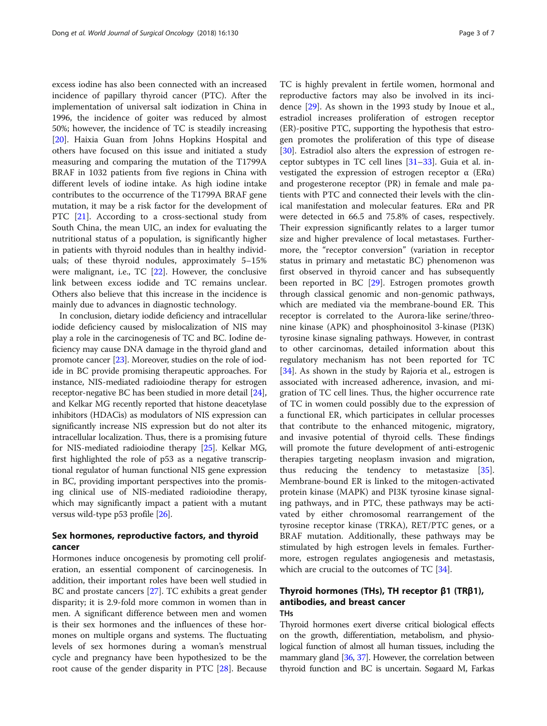excess iodine has also been connected with an increased incidence of papillary thyroid cancer (PTC). After the implementation of universal salt iodization in China in 1996, the incidence of goiter was reduced by almost 50%; however, the incidence of TC is steadily increasing [[20\]](#page-5-0). Haixia Guan from Johns Hopkins Hospital and others have focused on this issue and initiated a study measuring and comparing the mutation of the T1799A BRAF in 1032 patients from five regions in China with different levels of iodine intake. As high iodine intake contributes to the occurrence of the T1799A BRAF gene mutation, it may be a risk factor for the development of PTC [\[21](#page-5-0)]. According to a cross-sectional study from South China, the mean UIC, an index for evaluating the nutritional status of a population, is significantly higher in patients with thyroid nodules than in healthy individuals; of these thyroid nodules, approximately 5–15% were malignant, i.e., TC [\[22](#page-5-0)]. However, the conclusive link between excess iodide and TC remains unclear. Others also believe that this increase in the incidence is mainly due to advances in diagnostic technology.

In conclusion, dietary iodide deficiency and intracellular iodide deficiency caused by mislocalization of NIS may play a role in the carcinogenesis of TC and BC. Iodine deficiency may cause DNA damage in the thyroid gland and promote cancer [[23](#page-5-0)]. Moreover, studies on the role of iodide in BC provide promising therapeutic approaches. For instance, NIS-mediated radioiodine therapy for estrogen receptor-negative BC has been studied in more detail [[24](#page-5-0)], and Kelkar MG recently reported that histone deacetylase inhibitors (HDACis) as modulators of NIS expression can significantly increase NIS expression but do not alter its intracellular localization. Thus, there is a promising future for NIS-mediated radioiodine therapy [[25](#page-5-0)]. Kelkar MG, first highlighted the role of p53 as a negative transcriptional regulator of human functional NIS gene expression in BC, providing important perspectives into the promising clinical use of NIS-mediated radioiodine therapy, which may significantly impact a patient with a mutant versus wild-type p53 profile [\[26\]](#page-5-0).

# Sex hormones, reproductive factors, and thyroid cancer

Hormones induce oncogenesis by promoting cell proliferation, an essential component of carcinogenesis. In addition, their important roles have been well studied in BC and prostate cancers [\[27\]](#page-5-0). TC exhibits a great gender disparity; it is 2.9-fold more common in women than in men. A significant difference between men and women is their sex hormones and the influences of these hormones on multiple organs and systems. The fluctuating levels of sex hormones during a woman's menstrual cycle and pregnancy have been hypothesized to be the root cause of the gender disparity in PTC [\[28\]](#page-5-0). Because TC is highly prevalent in fertile women, hormonal and reproductive factors may also be involved in its incidence [\[29](#page-5-0)]. As shown in the 1993 study by Inoue et al., estradiol increases proliferation of estrogen receptor (ER)-positive PTC, supporting the hypothesis that estrogen promotes the proliferation of this type of disease [[30\]](#page-5-0). Estradiol also alters the expression of estrogen receptor subtypes in TC cell lines [\[31](#page-5-0)–[33\]](#page-5-0). Guia et al. investigated the expression of estrogen receptor  $\alpha$  (ER $\alpha$ ) and progesterone receptor (PR) in female and male patients with PTC and connected their levels with the clinical manifestation and molecular features. ERα and PR were detected in 66.5 and 75.8% of cases, respectively. Their expression significantly relates to a larger tumor size and higher prevalence of local metastases. Furthermore, the "receptor conversion" (variation in receptor status in primary and metastatic BC) phenomenon was first observed in thyroid cancer and has subsequently been reported in BC [\[29\]](#page-5-0). Estrogen promotes growth through classical genomic and non-genomic pathways, which are mediated via the membrane-bound ER. This receptor is correlated to the Aurora-like serine/threonine kinase (APK) and phosphoinositol 3-kinase (PI3K) tyrosine kinase signaling pathways. However, in contrast to other carcinomas, detailed information about this regulatory mechanism has not been reported for TC [[34\]](#page-5-0). As shown in the study by Rajoria et al., estrogen is associated with increased adherence, invasion, and migration of TC cell lines. Thus, the higher occurrence rate of TC in women could possibly due to the expression of a functional ER, which participates in cellular processes that contribute to the enhanced mitogenic, migratory, and invasive potential of thyroid cells. These findings will promote the future development of anti-estrogenic therapies targeting neoplasm invasion and migration, thus reducing the tendency to metastasize [\[35](#page-5-0)]. Membrane-bound ER is linked to the mitogen-activated protein kinase (MAPK) and PI3K tyrosine kinase signaling pathways, and in PTC, these pathways may be activated by either chromosomal rearrangement of the tyrosine receptor kinase (TRKA), RET/PTC genes, or a BRAF mutation. Additionally, these pathways may be stimulated by high estrogen levels in females. Furthermore, estrogen regulates angiogenesis and metastasis, which are crucial to the outcomes of TC [\[34](#page-5-0)].

# Thyroid hormones (THs), TH receptor β1 (TRβ1), antibodies, and breast cancer THs

Thyroid hormones exert diverse critical biological effects on the growth, differentiation, metabolism, and physiological function of almost all human tissues, including the mammary gland [[36](#page-5-0), [37](#page-5-0)]. However, the correlation between thyroid function and BC is uncertain. Søgaard M, Farkas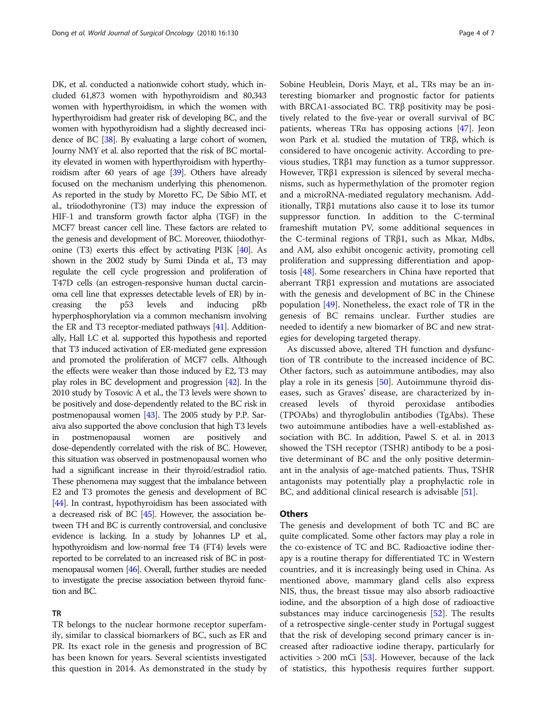DK, et al. conducted a nationwide cohort study, which included 61,873 women with hypothyroidism and 80,343 women with hyperthyroidism, in which the women with hyperthyroidism had greater risk of developing BC, and the women with hypothyroidism had a slightly decreased incidence of BC [\[38\]](#page-5-0). By evaluating a large cohort of women, Journy NMY et al. also reported that the risk of BC mortality elevated in women with hyperthyroidism with hyperthyroidism after 60 years of age [\[39](#page-5-0)]. Others have already focused on the mechanism underlying this phenomenon. As reported in the study by Moretto FC, De Sibio MT, et al., triiodothyronine (T3) may induce the expression of HIF-1 and transform growth factor alpha (TGF) in the MCF7 breast cancer cell line. These factors are related to the genesis and development of BC. Moreover, thiiodothyronine (T3) exerts this effect by activating PI3K [[40](#page-5-0)]. As shown in the 2002 study by Sumi Dinda et al., T3 may regulate the cell cycle progression and proliferation of T47D cells (an estrogen-responsive human ductal carcinoma cell line that expresses detectable levels of ER) by increasing the p53 levels and inducing pRb hyperphosphorylation via a common mechanism involving the ER and T3 receptor-mediated pathways [[41](#page-5-0)]. Additionally, Hall LC et al. supported this hypothesis and reported that T3 induced activation of ER-mediated gene expression and promoted the proliferation of MCF7 cells. Although the effects were weaker than those induced by E2, T3 may play roles in BC development and progression [\[42\]](#page-5-0). In the 2010 study by Tosovic A et al., the T3 levels were shown to be positively and dose-dependently related to the BC risk in postmenopausal women [\[43\]](#page-5-0). The 2005 study by P.P. Saraiva also supported the above conclusion that high T3 levels in postmenopausal women are positively and dose-dependently correlated with the risk of BC. However, this situation was observed in postmenopausal women who had a significant increase in their thyroid/estradiol ratio. These phenomena may suggest that the imbalance between E2 and T3 promotes the genesis and development of BC [[44](#page-5-0)]. In contrast, hypothyroidism has been associated with a decreased risk of BC [\[45\]](#page-5-0). However, the association between TH and BC is currently controversial, and conclusive evidence is lacking. In a study by Johannes LP et al., hypothyroidism and low-normal free T4 (FT4) levels were reported to be correlated to an increased risk of BC in postmenopausal women [\[46](#page-5-0)]. Overall, further studies are needed to investigate the precise association between thyroid function and BC.

# TR

TR belongs to the nuclear hormone receptor superfamily, similar to classical biomarkers of BC, such as ER and PR. Its exact role in the genesis and progression of BC has been known for years. Several scientists investigated this question in 2014. As demonstrated in the study by Sobine Heublein, Doris Mayr, et al., TRs may be an interesting biomarker and prognostic factor for patients with BRCA1-associated BC. TRβ positivity may be positively related to the five-year or overall survival of BC patients, whereas TRα has opposing actions [[47\]](#page-5-0). Jeon won Park et al. studied the mutation of TRβ, which is considered to have oncogenic activity. According to previous studies, TRβ1 may function as a tumor suppressor. However, TRβ1 expression is silenced by several mechanisms, such as hypermethylation of the promoter region and a microRNA-mediated regulatory mechanism. Additionally, TRβ1 mutations also cause it to lose its tumor suppressor function. In addition to the C-terminal frameshift mutation PV, some additional sequences in the C-terminal regions of TRβ1, such as Mkar, Mdbs, and AM, also exhibit oncogenic activity, promoting cell proliferation and suppressing differentiation and apoptosis [[48](#page-5-0)]. Some researchers in China have reported that aberrant TRβ1 expression and mutations are associated with the genesis and development of BC in the Chinese population [\[49\]](#page-5-0). Nonetheless, the exact role of TR in the genesis of BC remains unclear. Further studies are needed to identify a new biomarker of BC and new strategies for developing targeted therapy.

As discussed above, altered TH function and dysfunction of TR contribute to the increased incidence of BC. Other factors, such as autoimmune antibodies, may also play a role in its genesis [\[50\]](#page-5-0). Autoimmune thyroid diseases, such as Graves' disease, are characterized by increased levels of thyroid peroxidase antibodies (TPOAbs) and thyroglobulin antibodies (TgAbs). These two autoimmune antibodies have a well-established association with BC. In addition, Pawel S. et al. in 2013 showed the TSH receptor (TSHR) antibody to be a positive determinant of BC and the only positive determinant in the analysis of age-matched patients. Thus, TSHR antagonists may potentially play a prophylactic role in BC, and additional clinical research is advisable [\[51](#page-6-0)].

# **Others**

The genesis and development of both TC and BC are quite complicated. Some other factors may play a role in the co-existence of TC and BC. Radioactive iodine therapy is a routine therapy for differentiated TC in Western countries, and it is increasingly being used in China. As mentioned above, mammary gland cells also express NIS, thus, the breast tissue may also absorb radioactive iodine, and the absorption of a high dose of radioactive substances may induce carcinogenesis [[52\]](#page-6-0). The results of a retrospective single-center study in Portugal suggest that the risk of developing second primary cancer is increased after radioactive iodine therapy, particularly for activities  $> 200$  mCi [\[53](#page-6-0)]. However, because of the lack of statistics, this hypothesis requires further support.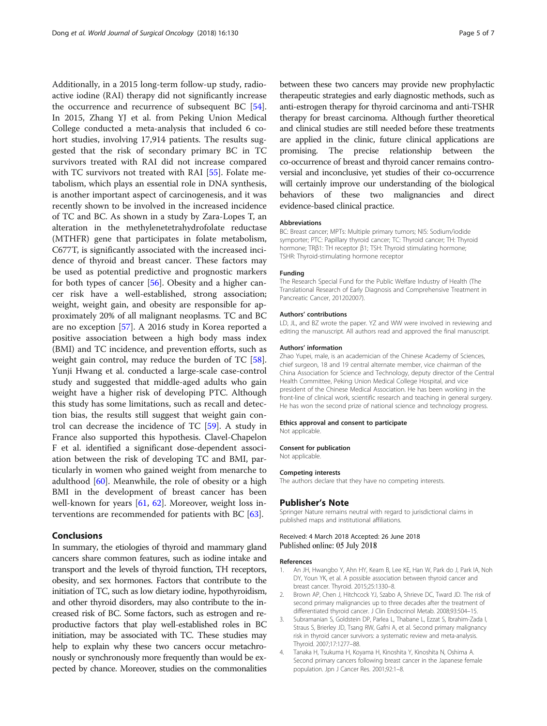<span id="page-4-0"></span>Additionally, in a 2015 long-term follow-up study, radioactive iodine (RAI) therapy did not significantly increase the occurrence and recurrence of subsequent BC [\[54](#page-6-0)]. In 2015, Zhang YJ et al. from Peking Union Medical College conducted a meta-analysis that included 6 cohort studies, involving 17,914 patients. The results suggested that the risk of secondary primary BC in TC survivors treated with RAI did not increase compared with TC survivors not treated with RAI [[55](#page-6-0)]. Folate metabolism, which plays an essential role in DNA synthesis, is another important aspect of carcinogenesis, and it was recently shown to be involved in the increased incidence of TC and BC. As shown in a study by Zara-Lopes T, an alteration in the methylenetetrahydrofolate reductase (MTHFR) gene that participates in folate metabolism, C677T, is significantly associated with the increased incidence of thyroid and breast cancer. These factors may be used as potential predictive and prognostic markers for both types of cancer [[56](#page-6-0)]. Obesity and a higher cancer risk have a well-established, strong association; weight, weight gain, and obesity are responsible for approximately 20% of all malignant neoplasms. TC and BC are no exception [\[57](#page-6-0)]. A 2016 study in Korea reported a positive association between a high body mass index (BMI) and TC incidence, and prevention efforts, such as weight gain control, may reduce the burden of TC [\[58](#page-6-0)]. Yunji Hwang et al. conducted a large-scale case-control study and suggested that middle-aged adults who gain weight have a higher risk of developing PTC. Although this study has some limitations, such as recall and detection bias, the results still suggest that weight gain control can decrease the incidence of TC [[59\]](#page-6-0). A study in France also supported this hypothesis. Clavel-Chapelon F et al. identified a significant dose-dependent association between the risk of developing TC and BMI, particularly in women who gained weight from menarche to adulthood [[60\]](#page-6-0). Meanwhile, the role of obesity or a high BMI in the development of breast cancer has been well-known for years [\[61](#page-6-0), [62\]](#page-6-0). Moreover, weight loss interventions are recommended for patients with BC [[63\]](#page-6-0).

## Conclusions

In summary, the etiologies of thyroid and mammary gland cancers share common features, such as iodine intake and transport and the levels of thyroid function, TH receptors, obesity, and sex hormones. Factors that contribute to the initiation of TC, such as low dietary iodine, hypothyroidism, and other thyroid disorders, may also contribute to the increased risk of BC. Some factors, such as estrogen and reproductive factors that play well-established roles in BC initiation, may be associated with TC. These studies may help to explain why these two cancers occur metachronously or synchronously more frequently than would be expected by chance. Moreover, studies on the commonalities between these two cancers may provide new prophylactic therapeutic strategies and early diagnostic methods, such as anti-estrogen therapy for thyroid carcinoma and anti-TSHR therapy for breast carcinoma. Although further theoretical and clinical studies are still needed before these treatments are applied in the clinic, future clinical applications are promising. The precise relationship between the co-occurrence of breast and thyroid cancer remains controversial and inconclusive, yet studies of their co-occurrence will certainly improve our understanding of the biological behaviors of these two malignancies and direct evidence-based clinical practice.

### Abbreviations

BC: Breast cancer; MPTs: Multiple primary tumors; NIS: Sodium/iodide symporter; PTC: Papillary thyroid cancer; TC: Thyroid cancer; TH: Thyroid hormone; TRβ1: TH receptor β1; TSH: Thyroid stimulating hormone; TSHR: Thyroid-stimulating hormone receptor

#### Funding

The Research Special Fund for the Public Welfare Industry of Health (The Translational Research of Early Diagnosis and Comprehensive Treatment in Pancreatic Cancer, 201202007).

#### Authors' contributions

LD, JL, and BZ wrote the paper. YZ and WW were involved in reviewing and editing the manuscript. All authors read and approved the final manuscript.

#### Authors' information

Zhao Yupei, male, is an academician of the Chinese Academy of Sciences, chief surgeon, 18 and 19 central alternate member, vice chairman of the China Association for Science and Technology, deputy director of the Central Health Committee, Peking Union Medical College Hospital, and vice president of the Chinese Medical Association. He has been working in the front-line of clinical work, scientific research and teaching in general surgery. He has won the second prize of national science and technology progress.

# Ethics approval and consent to participate

Not applicable.

#### Consent for publication

Not applicable.

#### Competing interests

The authors declare that they have no competing interests.

### Publisher's Note

Springer Nature remains neutral with regard to jurisdictional claims in published maps and institutional affiliations.

#### Received: 4 March 2018 Accepted: 26 June 2018 Published online: 05 July 2018

#### References

- An JH, Hwangbo Y, Ahn HY, Keam B, Lee KE, Han W, Park do J, Park IA, Noh DY, Youn YK, et al. A possible association between thyroid cancer and breast cancer. Thyroid. 2015;25:1330–8.
- 2. Brown AP, Chen J, Hitchcock YJ, Szabo A, Shrieve DC, Tward JD. The risk of second primary malignancies up to three decades after the treatment of differentiated thyroid cancer. J Clin Endocrinol Metab. 2008;93:504–15.
- 3. Subramanian S, Goldstein DP, Parlea L, Thabane L, Ezzat S, Ibrahim-Zada I, Straus S, Brierley JD, Tsang RW, Gafni A, et al. Second primary malignancy risk in thyroid cancer survivors: a systematic review and meta-analysis. Thyroid. 2007;17:1277–88.
- 4. Tanaka H, Tsukuma H, Koyama H, Kinoshita Y, Kinoshita N, Oshima A. Second primary cancers following breast cancer in the Japanese female population. Jpn J Cancer Res. 2001;92:1–8.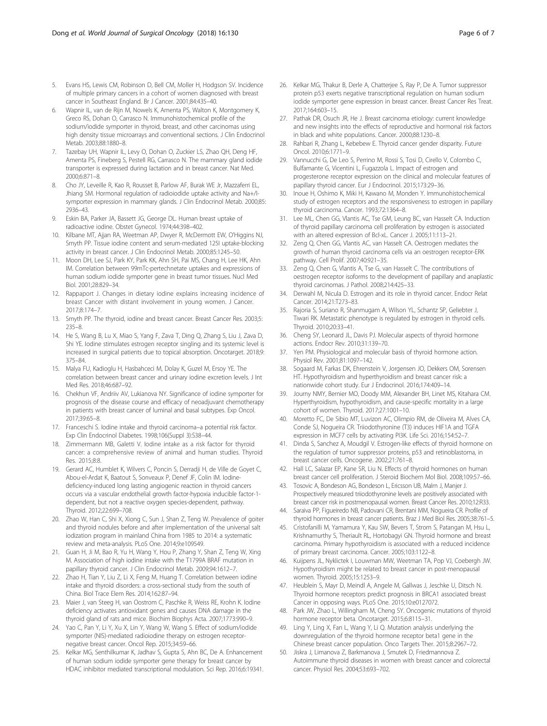- <span id="page-5-0"></span>5. Evans HS, Lewis CM, Robinson D, Bell CM, Moller H, Hodgson SV. Incidence of multiple primary cancers in a cohort of women diagnosed with breast cancer in Southeast England. Br J Cancer. 2001;84:435–40.
- 6. Wapnir IL, van de Rijn M, Nowels K, Amenta PS, Walton K, Montgomery K, Greco RS, Dohan O, Carrasco N. Immunohistochemical profile of the sodium/iodide symporter in thyroid, breast, and other carcinomas using high density tissue microarrays and conventional sections. J Clin Endocrinol Metab. 2003;88:1880–8.
- Tazebay UH, Wapnir IL, Levy O, Dohan O, Zuckier LS, Zhao QH, Deng HF, Amenta PS, Fineberg S, Pestell RG, Carrasco N. The mammary gland iodide transporter is expressed during lactation and in breast cancer. Nat Med. 2000;6:871–8.
- 8. Cho JY, Leveille R, Kao R, Rousset B, Parlow AF, Burak WE Jr, Mazzaferri EL, Jhiang SM. Hormonal regulation of radioiodide uptake activity and Na+/Isymporter expression in mammary glands. J Clin Endocrinol Metab. 2000;85: 2936–43.
- 9. Eskin BA, Parker JA, Bassett JG, George DL. Human breast uptake of radioactive iodine. Obstet Gynecol. 1974;44:398–402.
- 10. Kilbane MT, Ajjan RA, Weetman AP, Dwyer R, McDermott EW, O'Higgins NJ, Smyth PP. Tissue iodine content and serum-mediated 125I uptake-blocking activity in breast cancer. J Clin Endocrinol Metab. 2000;85:1245–50.
- 11. Moon DH, Lee SJ, Park KY, Park KK, Ahn SH, Pai MS, Chang H, Lee HK, Ahn IM. Correlation between 99mTc-pertechnetate uptakes and expressions of human sodium iodide symporter gene in breast tumor tissues. Nucl Med Biol. 2001;28:829–34.
- 12. Rappaport J. Changes in dietary iodine explains increasing incidence of breast Cancer with distant involvement in young women. J Cancer. 2017;8:174–7.
- 13. Smyth PP. The thyroid, iodine and breast cancer. Breast Cancer Res. 2003;5: 235–8.
- 14. He S, Wang B, Lu X, Miao S, Yang F, Zava T, Ding Q, Zhang S, Liu J, Zava D, Shi YE. Iodine stimulates estrogen receptor singling and its systemic level is increased in surgical patients due to topical absorption. Oncotarget. 2018;9: 375–84.
- 15. Malya FU, Kadioglu H, Hasbahceci M, Dolay K, Guzel M, Ersoy YE. The correlation between breast cancer and urinary iodine excretion levels. J Int Med Res. 2018;46:687–92.
- 16. Chekhun VF, Andriiv AV, Lukianova NY. Significance of iodine symporter for prognosis of the disease course and efficacy of neoadjuvant chemotherapy in patients with breast cancer of luminal and basal subtypes. Exp Oncol. 2017;39:65–8.
- 17. Franceschi S. Iodine intake and thyroid carcinoma–a potential risk factor. Exp Clin Endocrinol Diabetes. 1998;106(Suppl 3):S38–44.
- 18. Zimmermann MB, Galetti V. Iodine intake as a risk factor for thyroid cancer: a comprehensive review of animal and human studies. Thyroid Res. 2015;8:8.
- 19. Gerard AC, Humblet K, Wilvers C, Poncin S, Derradji H, de Ville de Goyet C, Abou-el-Ardat K, Baatout S, Sonveaux P, Denef JF, Colin IM. Iodinedeficiency-induced long lasting angiogenic reaction in thyroid cancers occurs via a vascular endothelial growth factor-hypoxia inducible factor-1 dependent, but not a reactive oxygen species-dependent, pathway. Thyroid. 2012;22:699–708.
- 20. Zhao W, Han C, Shi X, Xiong C, Sun J, Shan Z, Teng W. Prevalence of goiter and thyroid nodules before and after implementation of the universal salt iodization program in mainland China from 1985 to 2014: a systematic review and meta-analysis. PLoS One. 2014;9:e109549.
- 21. Guan H, Ji M, Bao R, Yu H, Wang Y, Hou P, Zhang Y, Shan Z, Teng W, Xing M. Association of high iodine intake with the T1799A BRAF mutation in papillary thyroid cancer. J Clin Endocrinol Metab. 2009;94:1612–7.
- 22. Zhao H, Tian Y, Liu Z, Li X, Feng M, Huang T. Correlation between iodine intake and thyroid disorders: a cross-sectional study from the south of China. Biol Trace Elem Res. 2014;162:87–94.
- 23. Maier J, van Steeg H, van Oostrom C, Paschke R, Weiss RE, Krohn K. Iodine deficiency activates antioxidant genes and causes DNA damage in the thyroid gland of rats and mice. Biochim Biophys Acta. 2007;1773:990–9.
- 24. Yao C, Pan Y, Li Y, Xu X, Lin Y, Wang W, Wang S. Effect of sodium/iodide symporter (NIS)-mediated radioiodine therapy on estrogen receptornegative breast cancer. Oncol Rep. 2015;34:59–66.
- 25. Kelkar MG, Senthilkumar K, Jadhav S, Gupta S, Ahn BC, De A. Enhancement of human sodium iodide symporter gene therapy for breast cancer by HDAC inhibitor mediated transcriptional modulation. Sci Rep. 2016;6:19341.
- 26. Kelkar MG, Thakur B, Derle A, Chatterjee S, Ray P, De A. Tumor suppressor protein p53 exerts negative transcriptional regulation on human sodium iodide symporter gene expression in breast cancer. Breast Cancer Res Treat. 2017;164:603–15.
- 27. Pathak DR, Osuch JR, He J. Breast carcinoma etiology: current knowledge and new insights into the effects of reproductive and hormonal risk factors in black and white populations. Cancer. 2000;88:1230–8.
- 28. Rahbari R, Zhang L, Kebebew E. Thyroid cancer gender disparity. Future Oncol. 2010;6:1771–9.
- 29. Vannucchi G, De Leo S, Perrino M, Rossi S, Tosi D, Cirello V, Colombo C, Bulfamante G, Vicentini L, Fugazzola L. Impact of estrogen and progesterone receptor expression on the clinical and molecular features of papillary thyroid cancer. Eur J Endocrinol. 2015;173:29–36.
- 30. Inoue H, Oshimo K, Miki H, Kawano M, Monden Y. Immunohistochemical study of estrogen receptors and the responsiveness to estrogen in papillary thyroid carcinoma. Cancer. 1993;72:1364–8.
- 31. Lee ML, Chen GG, Vlantis AC, Tse GM, Leung BC, van Hasselt CA. Induction of thyroid papillary carcinoma cell proliferation by estrogen is associated with an altered expression of Bcl-xL. Cancer J. 2005;11:113–21.
- 32. Zeng Q, Chen GG, Vlantis AC, van Hasselt CA. Oestrogen mediates the growth of human thyroid carcinoma cells via an oestrogen receptor-ERK pathway. Cell Prolif. 2007;40:921–35.
- 33. Zeng Q, Chen G, Vlantis A, Tse G, van Hasselt C. The contributions of oestrogen receptor isoforms to the development of papillary and anaplastic thyroid carcinomas. J Pathol. 2008;214:425–33.
- 34. Derwahl M, Nicula D. Estrogen and its role in thyroid cancer. Endocr Relat Cancer. 2014;21:T273–83.
- 35. Rajoria S, Suriano R, Shanmugam A, Wilson YL, Schantz SP, Geliebter J, Tiwari RK. Metastatic phenotype is regulated by estrogen in thyroid cells. Thyroid. 2010;20:33–41.
- 36. Cheng SY, Leonard JL, Davis PJ. Molecular aspects of thyroid hormone actions. Endocr Rev. 2010;31:139–70.
- 37. Yen PM. Physiological and molecular basis of thyroid hormone action. Physiol Rev. 2001;81:1097–142.
- 38. Sogaard M, Farkas DK, Ehrenstein V, Jorgensen JO, Dekkers OM, Sorensen HT. Hypothyroidism and hyperthyroidism and breast cancer risk: a nationwide cohort study. Eur J Endocrinol. 2016;174:409–14.
- 39. Journy NMY, Bernier MO, Doody MM, Alexander BH, Linet MS, Kitahara CM. Hyperthyroidism, hypothyroidism, and cause-specific mortality in a large cohort of women. Thyroid. 2017;27:1001–10.
- 40. Moretto FC, De Sibio MT, Luvizon AC, Olimpio RM, de Oliveira M, Alves CA, Conde SJ, Nogueira CR. Triiodothyronine (T3) induces HIF1A and TGFA expression in MCF7 cells by activating PI3K. Life Sci. 2016;154:52–7.
- 41. Dinda S, Sanchez A, Moudgil V. Estrogen-like effects of thyroid hormone on the regulation of tumor suppressor proteins, p53 and retinoblastoma, in breast cancer cells. Oncogene. 2002;21:761–8.
- 42. Hall LC, Salazar EP, Kane SR, Liu N. Effects of thyroid hormones on human breast cancer cell proliferation. J Steroid Biochem Mol Biol. 2008;109:57–66.
- 43. Tosovic A, Bondeson AG, Bondeson L, Ericsson UB, Malm J, Manjer J. Prospectively measured triiodothyronine levels are positively associated with breast cancer risk in postmenopausal women. Breast Cancer Res. 2010;12:R33.
- 44. Saraiva PP, Figueiredo NB, Padovani CR, Brentani MM, Nogueira CR. Profile of thyroid hormones in breast cancer patients. Braz J Med Biol Res. 2005;38:761–5.
- 45. Cristofanilli M, Yamamura Y, Kau SW, Bevers T, Strom S, Patangan M, Hsu L, Krishnamurthy S, Theriault RL, Hortobagyi GN. Thyroid hormone and breast carcinoma. Primary hypothyroidism is associated with a reduced incidence of primary breast carcinoma. Cancer. 2005;103:1122–8.
- 46. Kuijpens JL, Nyklictek I, Louwman MW, Weetman TA, Pop VJ, Coebergh JW. Hypothyroidism might be related to breast cancer in post-menopausal women. Thyroid. 2005;15:1253–9.
- 47. Heublein S, Mayr D, Meindl A, Angele M, Gallwas J, Jeschke U, Ditsch N. Thyroid hormone receptors predict prognosis in BRCA1 associated breast Cancer in opposing ways. PLoS One. 2015;10:e0127072.
- 48. Park JW, Zhao L, Willingham M, Cheng SY. Oncogenic mutations of thyroid hormone receptor beta. Oncotarget. 2015;6:8115–31.
- 49. Ling Y, Ling X, Fan L, Wang Y, Li Q. Mutation analysis underlying the downregulation of the thyroid hormone receptor beta1 gene in the Chinese breast cancer population. Onco Targets Ther. 2015;8:2967–72.
- 50. Jiskra J, Limanova Z, Barkmanova J, Smutek D, Friedmannova Z. Autoimmune thyroid diseases in women with breast cancer and colorectal cancer. Physiol Res. 2004;53:693–702.